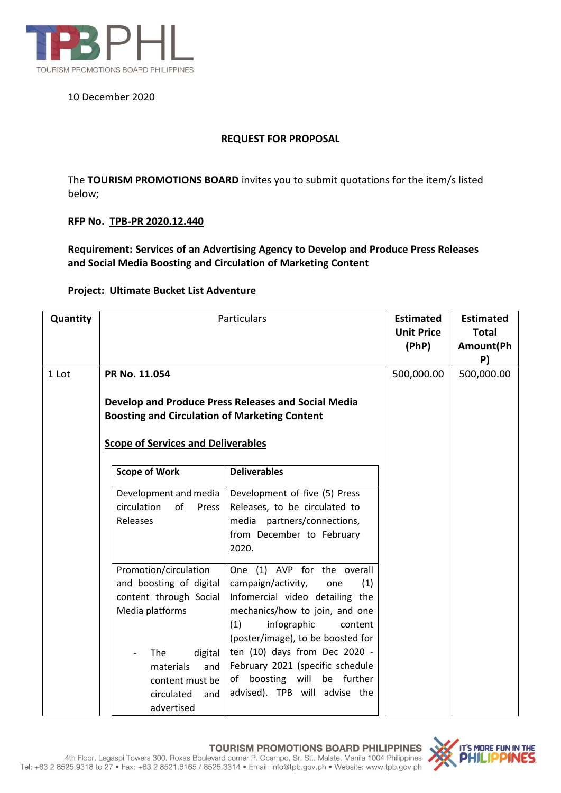

## 10 December 2020

### **REQUEST FOR PROPOSAL**

The **TOURISM PROMOTIONS BOARD** invites you to submit quotations for the item/s listed below;

### **RFP No. TPB-PR 2020.12.440**

**Requirement: Services of an Advertising Agency to Develop and Produce Press Releases and Social Media Boosting and Circulation of Marketing Content**

#### **Project: Ultimate Bucket List Adventure**

| Quantity | Particulars                                                                                                                                                                               | <b>Estimated</b><br><b>Unit Price</b><br>(PhP)                                                                                                                                                                                                                                                                                                        | <b>Estimated</b><br><b>Total</b><br>Amount(Ph<br>P) |  |
|----------|-------------------------------------------------------------------------------------------------------------------------------------------------------------------------------------------|-------------------------------------------------------------------------------------------------------------------------------------------------------------------------------------------------------------------------------------------------------------------------------------------------------------------------------------------------------|-----------------------------------------------------|--|
| 1 Lot    | PR No. 11.054<br>Develop and Produce Press Releases and Social Media<br><b>Boosting and Circulation of Marketing Content</b><br><b>Scope of Services and Deliverables</b>                 | 500,000.00                                                                                                                                                                                                                                                                                                                                            | 500,000.00                                          |  |
|          | <b>Scope of Work</b><br>Development and media<br>circulation<br>of<br>Press<br>Releases                                                                                                   | <b>Deliverables</b><br>Development of five (5) Press<br>Releases, to be circulated to<br>media partners/connections,<br>from December to February<br>2020.                                                                                                                                                                                            |                                                     |  |
|          | Promotion/circulation<br>and boosting of digital<br>content through Social<br>Media platforms<br>The<br>digital<br>and<br>materials<br>content must be<br>circulated<br>and<br>advertised | One (1) AVP for the overall<br>campaign/activity,<br>(1)<br>one<br>Infomercial video detailing the<br>mechanics/how to join, and one<br>infographic<br>(1)<br>content<br>(poster/image), to be boosted for<br>ten (10) days from Dec 2020 -<br>February 2021 (specific schedule<br>boosting will<br>be further<br>of<br>advised). TPB will advise the |                                                     |  |

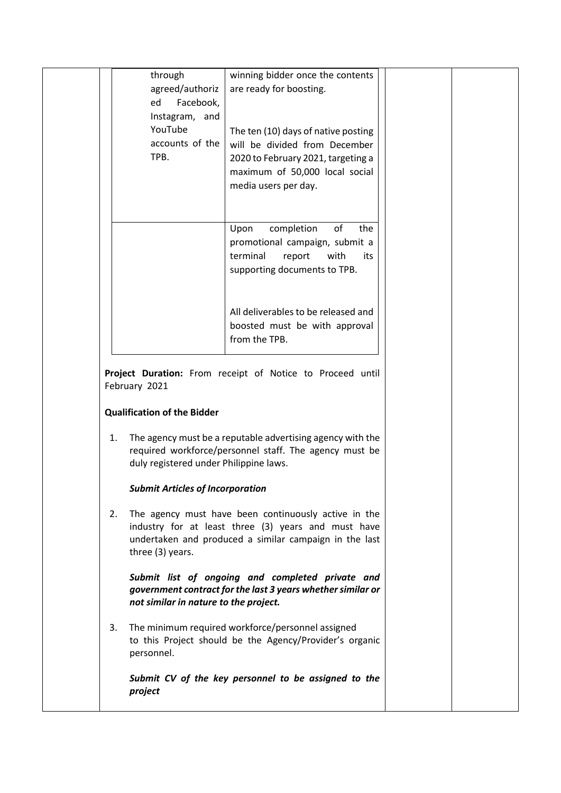| through<br>winning bidder once the contents<br>agreed/authoriz<br>are ready for boosting.<br>Facebook,<br>ed<br>Instagram, and<br>YouTube<br>The ten (10) days of native posting<br>accounts of the<br>will be divided from December<br>TPB.<br>2020 to February 2021, targeting a<br>maximum of 50,000 local social<br>media users per day.<br>completion<br>of<br>Upon<br>the<br>promotional campaign, submit a<br>terminal<br>report<br>with<br>its<br>supporting documents to TPB.<br>All deliverables to be released and<br>boosted must be with approval<br>from the TPB. |  |  |  |
|---------------------------------------------------------------------------------------------------------------------------------------------------------------------------------------------------------------------------------------------------------------------------------------------------------------------------------------------------------------------------------------------------------------------------------------------------------------------------------------------------------------------------------------------------------------------------------|--|--|--|
|                                                                                                                                                                                                                                                                                                                                                                                                                                                                                                                                                                                 |  |  |  |
|                                                                                                                                                                                                                                                                                                                                                                                                                                                                                                                                                                                 |  |  |  |
|                                                                                                                                                                                                                                                                                                                                                                                                                                                                                                                                                                                 |  |  |  |

**Project Duration:** From receipt of Notice to Proceed until February 2021

### **Qualification of the Bidder**

1. The agency must be a reputable advertising agency with the required workforce/personnel staff. The agency must be duly registered under Philippine laws.

### *Submit Articles of Incorporation*

2. The agency must have been continuously active in the industry for at least three (3) years and must have undertaken and produced a similar campaign in the last three (3) years.

### *Submit list of ongoing and completed private and government contract for the last 3 years whether similar or not similar in nature to the project.*

3. The minimum required workforce/personnel assigned to this Project should be the Agency/Provider's organic personnel.

*Submit CV of the key personnel to be assigned to the project*